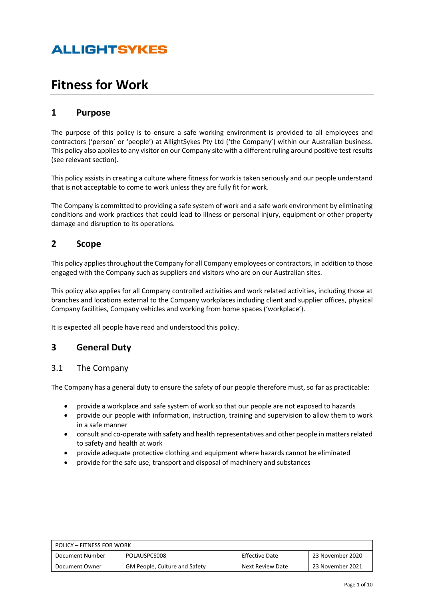# **Fitness for Work**

## **1 Purpose**

The purpose of this policy is to ensure a safe working environment is provided to all employees and contractors ('person' or 'people') at AllightSykes Pty Ltd ('the Company') within our Australian business. This policy also applies to any visitor on our Company site with a different ruling around positive test results (see relevant section).

This policy assists in creating a culture where fitness for work is taken seriously and our people understand that is not acceptable to come to work unless they are fully fit for work.

The Company is committed to providing a safe system of work and a safe work environment by eliminating conditions and work practices that could lead to illness or personal injury, equipment or other property damage and disruption to its operations.

## **2 Scope**

This policy applies throughout the Company for all Company employees or contractors, in addition to those engaged with the Company such as suppliers and visitors who are on our Australian sites.

This policy also applies for all Company controlled activities and work related activities, including those at branches and locations external to the Company workplaces including client and supplier offices, physical Company facilities, Company vehicles and working from home spaces ('workplace').

It is expected all people have read and understood this policy.

## **3 General Duty**

### 3.1 The Company

The Company has a general duty to ensure the safety of our people therefore must, so far as practicable:

- provide a workplace and safe system of work so that our people are not exposed to hazards
- provide our people with information, instruction, training and supervision to allow them to work in a safe manner
- consult and co-operate with safety and health representatives and other people in matters related to safety and health at work
- provide adequate protective clothing and equipment where hazards cannot be eliminated
- provide for the safe use, transport and disposal of machinery and substances

| POLICY – FITNESS FOR WORK                                                    |                                      |                  |                  |
|------------------------------------------------------------------------------|--------------------------------------|------------------|------------------|
| POLAUSPCS008<br><b>Effective Date</b><br>23 November 2020<br>Document Number |                                      |                  |                  |
| Document Owner                                                               | <b>GM People, Culture and Safety</b> | Next Review Date | 23 November 2021 |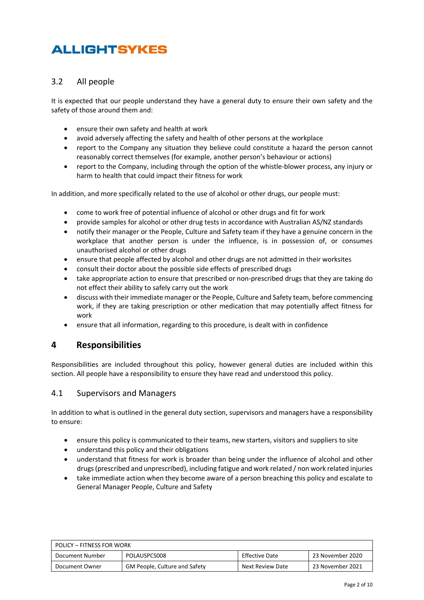## 3.2 All people

It is expected that our people understand they have a general duty to ensure their own safety and the safety of those around them and:

- ensure their own safety and health at work
- avoid adversely affecting the safety and health of other persons at the workplace
- report to the Company any situation they believe could constitute a hazard the person cannot reasonably correct themselves (for example, another person's behaviour or actions)
- report to the Company, including through the option of the whistle-blower process, any injury or harm to health that could impact their fitness for work

In addition, and more specifically related to the use of alcohol or other drugs, our people must:

- come to work free of potential influence of alcohol or other drugs and fit for work
- provide samples for alcohol or other drug tests in accordance with Australian AS/NZ standards
- notify their manager or the People, Culture and Safety team if they have a genuine concern in the workplace that another person is under the influence, is in possession of, or consumes unauthorised alcohol or other drugs
- ensure that people affected by alcohol and other drugs are not admitted in their worksites
- consult their doctor about the possible side effects of prescribed drugs
- take appropriate action to ensure that prescribed or non-prescribed drugs that they are taking do not effect their ability to safely carry out the work
- discuss with their immediate manager or the People, Culture and Safety team, before commencing work, if they are taking prescription or other medication that may potentially affect fitness for work
- ensure that all information, regarding to this procedure, is dealt with in confidence

## **4 Responsibilities**

Responsibilities are included throughout this policy, however general duties are included within this section. All people have a responsibility to ensure they have read and understood this policy.

### 4.1 Supervisors and Managers

In addition to what is outlined in the general duty section, supervisors and managers have a responsibility to ensure:

- ensure this policy is communicated to their teams, new starters, visitors and suppliers to site
- understand this policy and their obligations
- understand that fitness for work is broader than being under the influence of alcohol and other drugs (prescribed and unprescribed), including fatigue and work related / non work related injuries
- take immediate action when they become aware of a person breaching this policy and escalate to General Manager People, Culture and Safety

| POLICY – FITNESS FOR WORK                                             |                                      |                  |                  |
|-----------------------------------------------------------------------|--------------------------------------|------------------|------------------|
| POLAUSPCS008<br>Effective Date<br>23 November 2020<br>Document Number |                                      |                  |                  |
| Document Owner                                                        | <b>GM People, Culture and Safety</b> | Next Review Date | 23 November 2021 |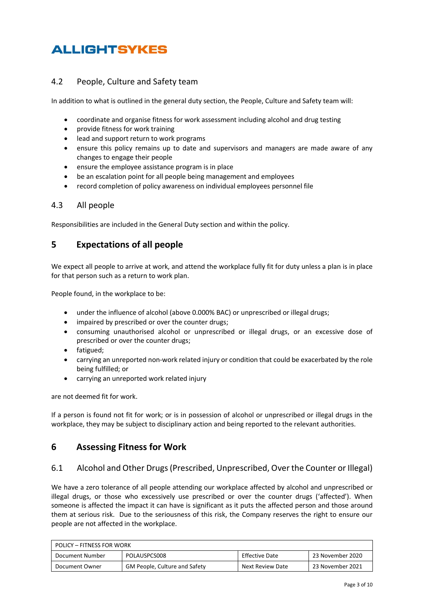## 4.2 People, Culture and Safety team

In addition to what is outlined in the general duty section, the People, Culture and Safety team will:

- coordinate and organise fitness for work assessment including alcohol and drug testing
- provide fitness for work training
- lead and support return to work programs
- ensure this policy remains up to date and supervisors and managers are made aware of any changes to engage their people
- ensure the employee assistance program is in place
- be an escalation point for all people being management and employees
- record completion of policy awareness on individual employees personnel file

### 4.3 All people

Responsibilities are included in the General Duty section and within the policy.

## **5 Expectations of all people**

We expect all people to arrive at work, and attend the workplace fully fit for duty unless a plan is in place for that person such as a return to work plan.

People found, in the workplace to be:

- under the influence of alcohol (above 0.000% BAC) or unprescribed or illegal drugs;
- impaired by prescribed or over the counter drugs;
- consuming unauthorised alcohol or unprescribed or illegal drugs, or an excessive dose of prescribed or over the counter drugs;
- fatigued;
- carrying an unreported non-work related injury or condition that could be exacerbated by the role being fulfilled; or
- carrying an unreported work related injury

are not deemed fit for work.

If a person is found not fit for work; or is in possession of alcohol or unprescribed or illegal drugs in the workplace, they may be subject to disciplinary action and being reported to the relevant authorities.

## **6 Assessing Fitness for Work**

### 6.1 Alcohol and Other Drugs (Prescribed, Unprescribed, Over the Counter or Illegal)

We have a zero tolerance of all people attending our workplace affected by alcohol and unprescribed or illegal drugs, or those who excessively use prescribed or over the counter drugs ('affected'). When someone is affected the impact it can have is significant as it puts the affected person and those around them at serious risk. Due to the seriousness of this risk, the Company reserves the right to ensure our people are not affected in the workplace.

| POLICY – FITNESS FOR WORK                                                                      |  |  |  |  |
|------------------------------------------------------------------------------------------------|--|--|--|--|
| <b>Effective Date</b><br>POLAUSPCS008<br>23 November 2020<br>Document Number                   |  |  |  |  |
| <b>GM People, Culture and Safety</b><br>23 November 2021<br>Next Review Date<br>Document Owner |  |  |  |  |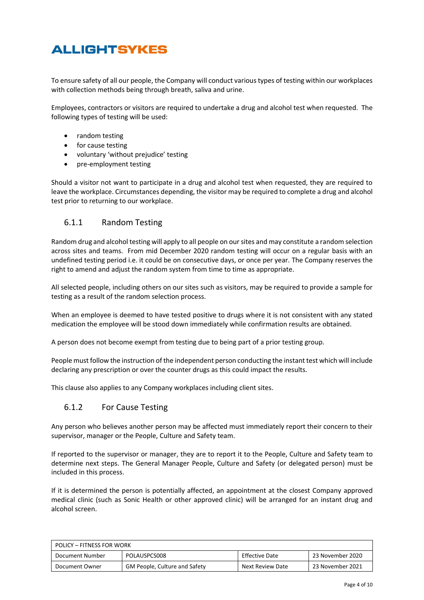To ensure safety of all our people, the Company will conduct various types of testing within our workplaces with collection methods being through breath, saliva and urine.

Employees, contractors or visitors are required to undertake a drug and alcohol test when requested. The following types of testing will be used:

- random testing
- for cause testing
- voluntary 'without prejudice' testing
- pre-employment testing

Should a visitor not want to participate in a drug and alcohol test when requested, they are required to leave the workplace. Circumstances depending, the visitor may be required to complete a drug and alcohol test prior to returning to our workplace.

### 6.1.1 Random Testing

Random drug and alcohol testing will apply to all people on our sites and may constitute a random selection across sites and teams. From mid December 2020 random testing will occur on a regular basis with an undefined testing period i.e. it could be on consecutive days, or once per year. The Company reserves the right to amend and adjust the random system from time to time as appropriate.

All selected people, including others on our sites such as visitors, may be required to provide a sample for testing as a result of the random selection process.

When an employee is deemed to have tested positive to drugs where it is not consistent with any stated medication the employee will be stood down immediately while confirmation results are obtained.

A person does not become exempt from testing due to being part of a prior testing group.

People must follow the instruction of the independent person conducting the instant test which will include declaring any prescription or over the counter drugs as this could impact the results.

This clause also applies to any Company workplaces including client sites.

#### 6.1.2 For Cause Testing

Any person who believes another person may be affected must immediately report their concern to their supervisor, manager or the People, Culture and Safety team.

If reported to the supervisor or manager, they are to report it to the People, Culture and Safety team to determine next steps. The General Manager People, Culture and Safety (or delegated person) must be included in this process.

If it is determined the person is potentially affected, an appointment at the closest Company approved medical clinic (such as Sonic Health or other approved clinic) will be arranged for an instant drug and alcohol screen.

| POLICY – FITNESS FOR WORK                                                    |                                      |                  |                  |
|------------------------------------------------------------------------------|--------------------------------------|------------------|------------------|
| <b>Effective Date</b><br>POLAUSPCS008<br>23 November 2020<br>Document Number |                                      |                  |                  |
| Document Owner                                                               | <b>GM People, Culture and Safety</b> | Next Review Date | 23 November 2021 |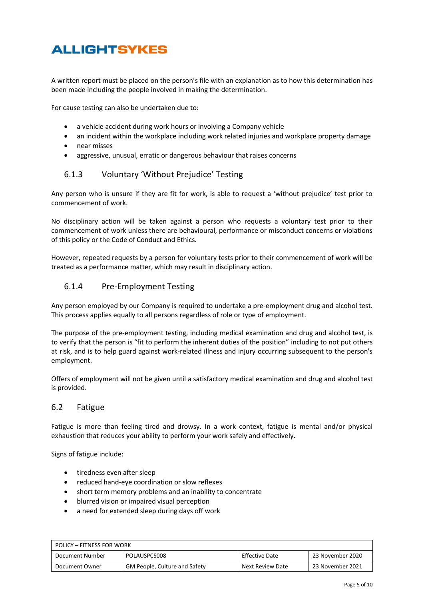A written report must be placed on the person's file with an explanation as to how this determination has been made including the people involved in making the determination.

For cause testing can also be undertaken due to:

- a vehicle accident during work hours or involving a Company vehicle
- an incident within the workplace including work related injuries and workplace property damage
- near misses
- aggressive, unusual, erratic or dangerous behaviour that raises concerns

### 6.1.3 Voluntary 'Without Prejudice' Testing

Any person who is unsure if they are fit for work, is able to request a 'without prejudice' test prior to commencement of work.

No disciplinary action will be taken against a person who requests a voluntary test prior to their commencement of work unless there are behavioural, performance or misconduct concerns or violations of this policy or the Code of Conduct and Ethics.

However, repeated requests by a person for voluntary tests prior to their commencement of work will be treated as a performance matter, which may result in disciplinary action.

### 6.1.4 Pre-Employment Testing

Any person employed by our Company is required to undertake a pre-employment drug and alcohol test. This process applies equally to all persons regardless of role or type of employment.

The purpose of the pre-employment testing, including medical examination and drug and alcohol test, is to verify that the person is "fit to perform the inherent duties of the position" including to not put others at risk, and is to help guard against work‐related illness and injury occurring subsequent to the person's employment.

Offers of employment will not be given until a satisfactory medical examination and drug and alcohol test is provided.

#### 6.2 Fatigue

Fatigue is more than feeling tired and drowsy. In a work context, fatigue is mental and/or physical exhaustion that reduces your ability to perform your work safely and effectively.

Signs of fatigue include:

- tiredness even after sleep
- reduced hand-eye coordination or slow reflexes
- short term memory problems and an inability to concentrate
- blurred vision or impaired visual perception
- a need for extended sleep during days off work

| POLICY – FITNESS FOR WORK                                                    |                                      |                  |                  |
|------------------------------------------------------------------------------|--------------------------------------|------------------|------------------|
| <b>Effective Date</b><br>POLAUSPCS008<br>23 November 2020<br>Document Number |                                      |                  |                  |
| Document Owner                                                               | <b>GM People, Culture and Safety</b> | Next Review Date | 23 November 2021 |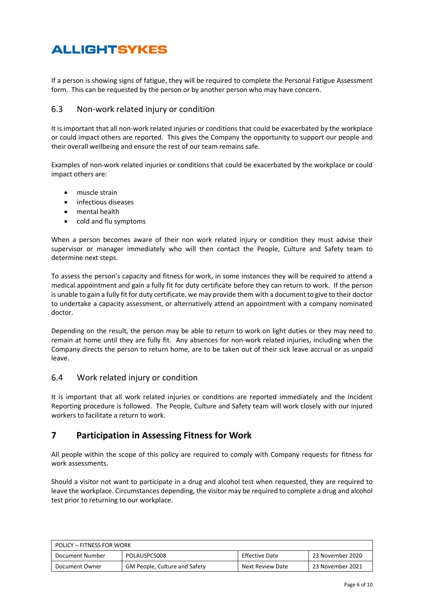If a person is showing signs of fatigue, they will be required to complete the Personal Fatigue Assessment form. This can be requested by the person or by another person who may have concern.

### 6.3 Non-work related injury or condition

It is important that all non-work related injuries or conditions that could be exacerbated by the workplace or could impact others are reported. This gives the Company the opportunity to support our people and their overall wellbeing and ensure the rest of our team remains safe.

Examples of non-work related injuries or conditions that could be exacerbated by the workplace or could impact others are:

- muscle strain
- infectious diseases
- mental health
- cold and flu symptoms

When a person becomes aware of their non work related injury or condition they must advise their supervisor or manager immediately who will then contact the People, Culture and Safety team to determine next steps.

To assess the person's capacity and fitness for work, in some instances they will be required to attend a medical appointment and gain a fully fit for duty certificate before they can return to work. If the person is unable to gain a fully fit for duty certificate, we may provide them with a document to give to their doctor to undertake a capacity assessment, or alternatively attend an appointment with a company nominated doctor.

Depending on the result, the person may be able to return to work on light duties or they may need to remain at home until they are fully fit. Any absences for non-work related injuries, including when the Company directs the person to return home, are to be taken out of their sick leave accrual or as unpaid leave.

### 6.4 Work related injury or condition

It is important that all work related injuries or conditions are reported immediately and the Incident Reporting procedure is followed. The People, Culture and Safety team will work closely with our injured workers to facilitate a return to work.

## **7 Participation in Assessing Fitness for Work**

All people within the scope of this policy are required to comply with Company requests for fitness for work assessments.

Should a visitor not want to participate in a drug and alcohol test when requested, they are required to leave the workplace. Circumstances depending, the visitor may be required to complete a drug and alcohol test prior to returning to our workplace.

| <b>POLICY - FITNESS FOR WORK</b>                                      |                               |                  |                  |
|-----------------------------------------------------------------------|-------------------------------|------------------|------------------|
| POLAUSPCS008<br>Effective Date<br>23 November 2020<br>Document Number |                               |                  |                  |
| Document Owner                                                        | GM People, Culture and Safety | Next Review Date | 23 November 2021 |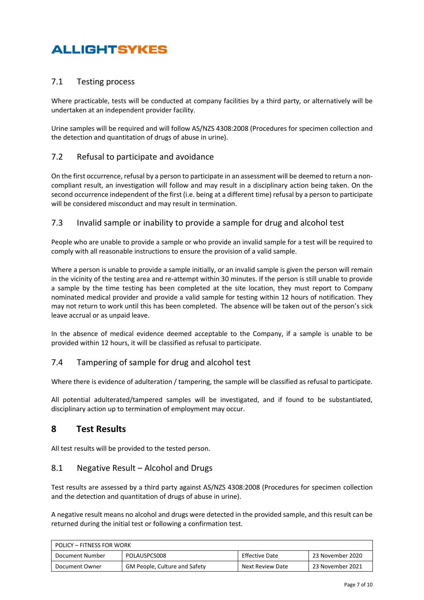## 7.1 Testing process

Where practicable, tests will be conducted at company facilities by a third party, or alternatively will be undertaken at an independent provider facility.

Urine samples will be required and will follow AS/NZS 4308:2008 (Procedures for specimen collection and the detection and quantitation of drugs of abuse in urine).

## 7.2 Refusal to participate and avoidance

On the first occurrence, refusal by a person to participate in an assessment will be deemed to return a noncompliant result, an investigation will follow and may result in a disciplinary action being taken. On the second occurrence independent of the first (i.e. being at a different time) refusal by a person to participate will be considered misconduct and may result in termination.

### 7.3 Invalid sample or inability to provide a sample for drug and alcohol test

People who are unable to provide a sample or who provide an invalid sample for a test will be required to comply with all reasonable instructions to ensure the provision of a valid sample.

Where a person is unable to provide a sample initially, or an invalid sample is given the person will remain in the vicinity of the testing area and re-attempt within 30 minutes. If the person is still unable to provide a sample by the time testing has been completed at the site location, they must report to Company nominated medical provider and provide a valid sample for testing within 12 hours of notification. They may not return to work until this has been completed. The absence will be taken out of the person's sick leave accrual or as unpaid leave.

In the absence of medical evidence deemed acceptable to the Company, if a sample is unable to be provided within 12 hours, it will be classified as refusal to participate.

### 7.4 Tampering of sample for drug and alcohol test

Where there is evidence of adulteration / tampering, the sample will be classified as refusal to participate.

All potential adulterated/tampered samples will be investigated, and if found to be substantiated, disciplinary action up to termination of employment may occur.

## **8 Test Results**

All test results will be provided to the tested person.

### 8.1 Negative Result – Alcohol and Drugs

Test results are assessed by a third party against AS/NZS 4308:2008 (Procedures for specimen collection and the detection and quantitation of drugs of abuse in urine).

A negative result means no alcohol and drugs were detected in the provided sample, and this result can be returned during the initial test or following a confirmation test.

| POLICY – FITNESS FOR WORK                                             |                                      |                  |                  |
|-----------------------------------------------------------------------|--------------------------------------|------------------|------------------|
| Effective Date<br>POLAUSPCS008<br>23 November 2020<br>Document Number |                                      |                  |                  |
| Document Owner                                                        | <b>GM People, Culture and Safety</b> | Next Review Date | 23 November 2021 |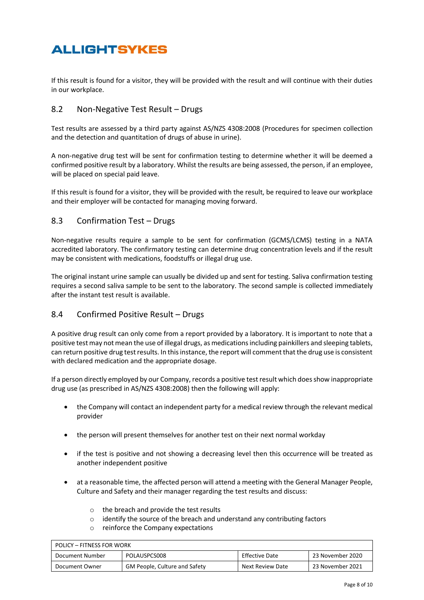If this result is found for a visitor, they will be provided with the result and will continue with their duties in our workplace.

### 8.2 Non-Negative Test Result – Drugs

Test results are assessed by a third party against AS/NZS 4308:2008 (Procedures for specimen collection and the detection and quantitation of drugs of abuse in urine).

A non-negative drug test will be sent for confirmation testing to determine whether it will be deemed a confirmed positive result by a laboratory. Whilst the results are being assessed, the person, if an employee, will be placed on special paid leave.

If this result is found for a visitor, they will be provided with the result, be required to leave our workplace and their employer will be contacted for managing moving forward.

### 8.3 Confirmation Test – Drugs

Non-negative results require a sample to be sent for confirmation (GCMS/LCMS) testing in a NATA accredited laboratory. The confirmatory testing can determine drug concentration levels and if the result may be consistent with medications, foodstuffs or illegal drug use.

The original instant urine sample can usually be divided up and sent for testing. Saliva confirmation testing requires a second saliva sample to be sent to the laboratory. The second sample is collected immediately after the instant test result is available.

### 8.4 Confirmed Positive Result – Drugs

A positive drug result can only come from a report provided by a laboratory. It is important to note that a positive test may not mean the use of illegal drugs, as medications including painkillers and sleeping tablets, can return positive drug test results. In this instance, the report will comment that the drug use is consistent with declared medication and the appropriate dosage.

If a person directly employed by our Company, records a positive test result which does show inappropriate drug use (as prescribed in AS/NZS 4308:2008) then the following will apply:

- the Company will contact an independent party for a medical review through the relevant medical provider
- the person will present themselves for another test on their next normal workday
- if the test is positive and not showing a decreasing level then this occurrence will be treated as another independent positive
- at a reasonable time, the affected person will attend a meeting with the General Manager People, Culture and Safety and their manager regarding the test results and discuss:
	- o the breach and provide the test results
	- o identify the source of the breach and understand any contributing factors
	- o reinforce the Company expectations

| <b>POLICY - FITNESS FOR WORK</b>                                             |                                      |                  |                  |  |
|------------------------------------------------------------------------------|--------------------------------------|------------------|------------------|--|
| POLAUSPCS008<br><b>Effective Date</b><br>23 November 2020<br>Document Number |                                      |                  |                  |  |
| Document Owner                                                               | <b>GM People, Culture and Safety</b> | Next Review Date | 23 November 2021 |  |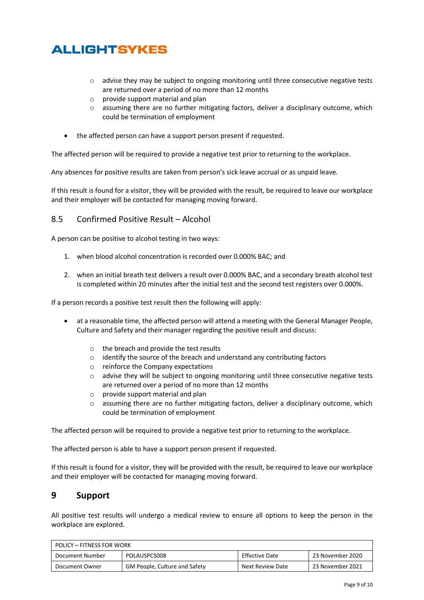- o advise they may be subject to ongoing monitoring until three consecutive negative tests are returned over a period of no more than 12 months
- o provide support material and plan
- o assuming there are no further mitigating factors, deliver a disciplinary outcome, which could be termination of employment
- the affected person can have a support person present if requested.

The affected person will be required to provide a negative test prior to returning to the workplace.

Any absences for positive results are taken from person's sick leave accrual or as unpaid leave.

If this result is found for a visitor, they will be provided with the result, be required to leave our workplace and their employer will be contacted for managing moving forward.

### 8.5 Confirmed Positive Result – Alcohol

A person can be positive to alcohol testing in two ways:

- 1. when blood alcohol concentration is recorded over 0.000% BAC; and
- 2. when an initial breath test delivers a result over 0.000% BAC, and a secondary breath alcohol test is completed within 20 minutes after the initial test and the second test registers over 0.000%.

If a person records a positive test result then the following will apply:

- at a reasonable time, the affected person will attend a meeting with the General Manager People, Culture and Safety and their manager regarding the positive result and discuss:
	- o the breach and provide the test results
	- o identify the source of the breach and understand any contributing factors
	- o reinforce the Company expectations
	- o advise they will be subject to ongoing monitoring until three consecutive negative tests are returned over a period of no more than 12 months
	- o provide support material and plan
	- $\circ$  assuming there are no further mitigating factors, deliver a disciplinary outcome, which could be termination of employment

The affected person will be required to provide a negative test prior to returning to the workplace.

The affected person is able to have a support person present if requested.

If this result is found for a visitor, they will be provided with the result, be required to leave our workplace and their employer will be contacted for managing moving forward.

## **9 Support**

All positive test results will undergo a medical review to ensure all options to keep the person in the workplace are explored.

| POLICY – FITNESS FOR WORK                                             |                                      |                  |                  |
|-----------------------------------------------------------------------|--------------------------------------|------------------|------------------|
| Effective Date<br>POLAUSPCS008<br>23 November 2020<br>Document Number |                                      |                  |                  |
| Document Owner                                                        | <b>GM People, Culture and Safety</b> | Next Review Date | 23 November 2021 |